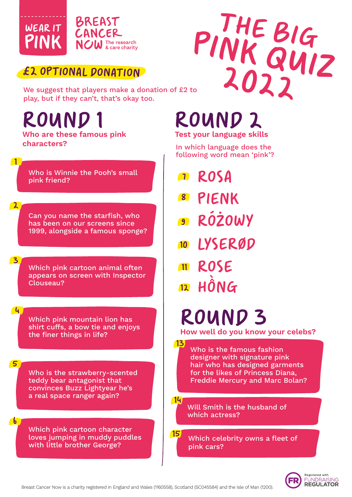

#### £2 OPTIONAL DONATION

**PINK QUIZ** We suggest that players make a donation of £2 to play, but if they can't, that's okay too.

## **ROUND**

 $\overline{2}$ 

3

4

5

6

 $\blacksquare$ 

**Who are these famous pink characters?**

Who is Winnie the Pooh's small pink friend?

Can you name the starfish, who has been on our screens since 1999, alongside a famous sponge?

Which pink cartoon animal often appears on screen with Inspector Clouseau?

Which pink mountain lion has shirt cuffs, a bow tie and enjoys the finer things in life?

Who is the strawberry-scented teddy bear antagonist that convinces Buzz Lightyear he's a real space ranger again?

Which pink cartoon character loves jumping in muddy puddles with little brother George?

## ROUND 2 **Test your language skills**

In which language does the following word mean 'pink'?

THE BIG

- rosa 7
- Pienk 8
- **RÓŻOWY** 9
- 10 LYSERØD
- 11 ROSE 12 HÔNG

13

# ROUND 3

**How well do you know your celebs?**

Who is the famous fashion designer with signature pink hair who has designed garments for the likes of Princess Diana, Freddie Mercury and Marc Bolan?

Will Smith is the husband of which actress? 14

Which celebrity owns a fleet of pink cars? 15

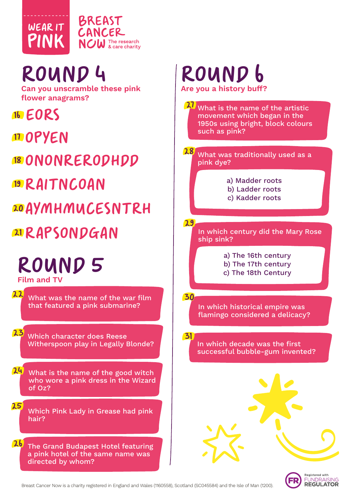

# ROUND L

**Can you unscramble these pink flower anagrams?**

16 E

n opyen

18 ONONRERODHDD

<sup>19</sup> RAITNCOAN

20AYMHMUCESNTR

## 21 RAPSONDGAN

### ROUND 5 **Film and TV**

What was the name of the war film that featured a pink submarine? 22

Which character does Reese Witherspoon play in Legally Blonde? 23

What is the name of the good witch who wore a pink dress in the Wizard of Oz? 24

Which Pink Lady in Grease had pink hair? 25

The Grand Budapest Hotel featuring a pink hotel of the same name was directed by whom? 26

## ROUND 6 **Are you a history buff?**

What is the name of the artistic movement which began in the 1950s using bright, block colours such as pink? 27

What was traditionally used as a pink dye? 28

- a) Madder roots b) Ladder roots
- c) Kadder roots

29

30

31

In which century did the Mary Rose ship sink?

> a) The 16th century b) The 17th century c) The 18th Century

In which historical empire was flamingo considered a delicacy?

In which decade was the first successful bubble-gum invented?

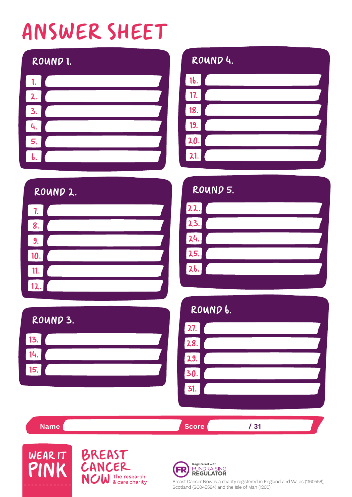# ANSWER SHEET

|    | ROUND 1. |
|----|----------|
| 1. |          |
| 2. |          |
| 3. |          |
| 4. |          |
| 5. |          |
|    |          |

#### ROUND 4.



|                         | ROUND 2. |  |
|-------------------------|----------|--|
| 7.                      |          |  |
| 8.                      |          |  |
| 9.                      |          |  |
| 10.                     |          |  |
| 11.                     |          |  |
| $\overline{\mathbf{2}}$ |          |  |

#### ROUND 5.

| 22. |  |
|-----|--|
| 23. |  |
| 24. |  |
| 25. |  |
| 26. |  |
|     |  |

#### ROUND 3.



#### ROUND 6.



**Name** / 31





Registered with **FUNDRAISING** FR

**REGULATOR** 

Breast Cancer Now is a charity registered in England and Wales (1160558), Scotland (SC045584) and the Isle of Man (1200).